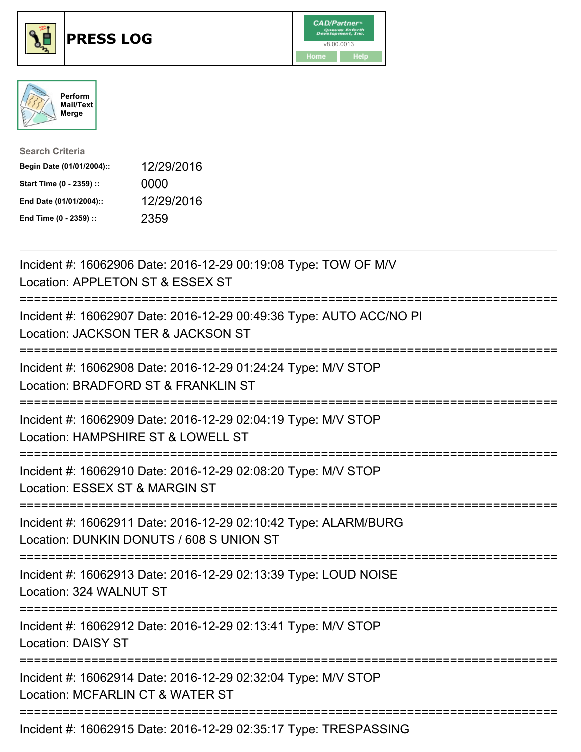





| <b>Search Criteria</b>    |            |
|---------------------------|------------|
| Begin Date (01/01/2004):: | 12/29/2016 |
| Start Time (0 - 2359) ::  | 0000       |
| End Date (01/01/2004)::   | 12/29/2016 |
| End Time (0 - 2359) ::    | 2359       |

| Incident #: 16062906 Date: 2016-12-29 00:19:08 Type: TOW OF M/V<br>Location: APPLETON ST & ESSEX ST         |
|-------------------------------------------------------------------------------------------------------------|
| Incident #: 16062907 Date: 2016-12-29 00:49:36 Type: AUTO ACC/NO PI<br>Location: JACKSON TER & JACKSON ST   |
| Incident #: 16062908 Date: 2016-12-29 01:24:24 Type: M/V STOP<br>Location: BRADFORD ST & FRANKLIN ST        |
| Incident #: 16062909 Date: 2016-12-29 02:04:19 Type: M/V STOP<br>Location: HAMPSHIRE ST & LOWELL ST         |
| Incident #: 16062910 Date: 2016-12-29 02:08:20 Type: M/V STOP<br>Location: ESSEX ST & MARGIN ST             |
| Incident #: 16062911 Date: 2016-12-29 02:10:42 Type: ALARM/BURG<br>Location: DUNKIN DONUTS / 608 S UNION ST |
| Incident #: 16062913 Date: 2016-12-29 02:13:39 Type: LOUD NOISE<br>Location: 324 WALNUT ST                  |
| Incident #: 16062912 Date: 2016-12-29 02:13:41 Type: M/V STOP<br><b>Location: DAISY ST</b>                  |
| Incident #: 16062914 Date: 2016-12-29 02:32:04 Type: M/V STOP<br>Location: MCFARLIN CT & WATER ST           |
| Incident #: 16062915 Date: 2016-12-29 02:35:17 Type: TRESPASSING                                            |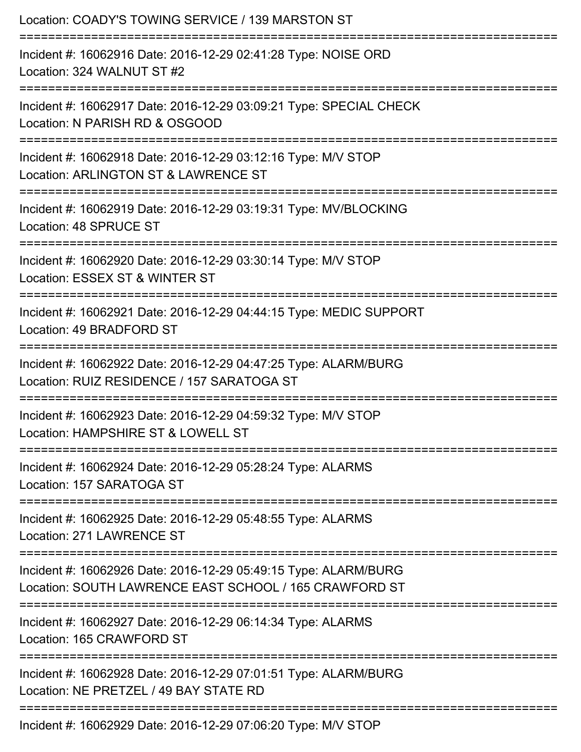| Location: COADY'S TOWING SERVICE / 139 MARSTON ST                                                                                          |
|--------------------------------------------------------------------------------------------------------------------------------------------|
| Incident #: 16062916 Date: 2016-12-29 02:41:28 Type: NOISE ORD<br>Location: 324 WALNUT ST #2                                               |
| Incident #: 16062917 Date: 2016-12-29 03:09:21 Type: SPECIAL CHECK<br>Location: N PARISH RD & OSGOOD                                       |
| Incident #: 16062918 Date: 2016-12-29 03:12:16 Type: M/V STOP<br>Location: ARLINGTON ST & LAWRENCE ST<br>:================================ |
| Incident #: 16062919 Date: 2016-12-29 03:19:31 Type: MV/BLOCKING<br>Location: 48 SPRUCE ST                                                 |
| Incident #: 16062920 Date: 2016-12-29 03:30:14 Type: M/V STOP<br>Location: ESSEX ST & WINTER ST                                            |
| Incident #: 16062921 Date: 2016-12-29 04:44:15 Type: MEDIC SUPPORT<br>Location: 49 BRADFORD ST                                             |
| Incident #: 16062922 Date: 2016-12-29 04:47:25 Type: ALARM/BURG<br>Location: RUIZ RESIDENCE / 157 SARATOGA ST                              |
| Incident #: 16062923 Date: 2016-12-29 04:59:32 Type: M/V STOP<br>Location: HAMPSHIRE ST & LOWELL ST                                        |
| Incident #: 16062924 Date: 2016-12-29 05:28:24 Type: ALARMS<br>Location: 157 SARATOGA ST                                                   |
| Incident #: 16062925 Date: 2016-12-29 05:48:55 Type: ALARMS<br>Location: 271 LAWRENCE ST                                                   |
| Incident #: 16062926 Date: 2016-12-29 05:49:15 Type: ALARM/BURG<br>Location: SOUTH LAWRENCE EAST SCHOOL / 165 CRAWFORD ST                  |
| Incident #: 16062927 Date: 2016-12-29 06:14:34 Type: ALARMS<br>Location: 165 CRAWFORD ST                                                   |
| Incident #: 16062928 Date: 2016-12-29 07:01:51 Type: ALARM/BURG<br>Location: NE PRETZEL / 49 BAY STATE RD                                  |
| Incident #: 16062929 Date: 2016-12-29 07:06:20 Type: M/V STOP                                                                              |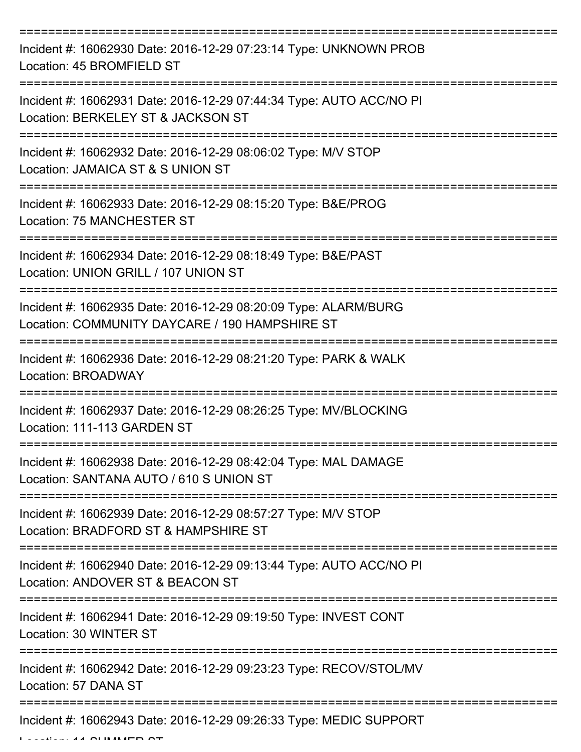| Incident #: 16062930 Date: 2016-12-29 07:23:14 Type: UNKNOWN PROB<br>Location: 45 BROMFIELD ST                    |
|-------------------------------------------------------------------------------------------------------------------|
| Incident #: 16062931 Date: 2016-12-29 07:44:34 Type: AUTO ACC/NO PI<br>Location: BERKELEY ST & JACKSON ST         |
| Incident #: 16062932 Date: 2016-12-29 08:06:02 Type: M/V STOP<br>Location: JAMAICA ST & S UNION ST                |
| Incident #: 16062933 Date: 2016-12-29 08:15:20 Type: B&E/PROG<br>Location: 75 MANCHESTER ST                       |
| Incident #: 16062934 Date: 2016-12-29 08:18:49 Type: B&E/PAST<br>Location: UNION GRILL / 107 UNION ST             |
| Incident #: 16062935 Date: 2016-12-29 08:20:09 Type: ALARM/BURG<br>Location: COMMUNITY DAYCARE / 190 HAMPSHIRE ST |
| Incident #: 16062936 Date: 2016-12-29 08:21:20 Type: PARK & WALK<br>Location: BROADWAY                            |
| Incident #: 16062937 Date: 2016-12-29 08:26:25 Type: MV/BLOCKING<br>Location: 111-113 GARDEN ST                   |
| Incident #: 16062938 Date: 2016-12-29 08:42:04 Type: MAL DAMAGE<br>Location: SANTANA AUTO / 610 S UNION ST        |
| Incident #: 16062939 Date: 2016-12-29 08:57:27 Type: M/V STOP<br>Location: BRADFORD ST & HAMPSHIRE ST             |
| Incident #: 16062940 Date: 2016-12-29 09:13:44 Type: AUTO ACC/NO PI<br>Location: ANDOVER ST & BEACON ST           |
| Incident #: 16062941 Date: 2016-12-29 09:19:50 Type: INVEST CONT<br>Location: 30 WINTER ST                        |
| Incident #: 16062942 Date: 2016-12-29 09:23:23 Type: RECOV/STOL/MV<br>Location: 57 DANA ST                        |
| Incident #: 16062943 Date: 2016-12-29 09:26:33 Type: MEDIC SUPPORT                                                |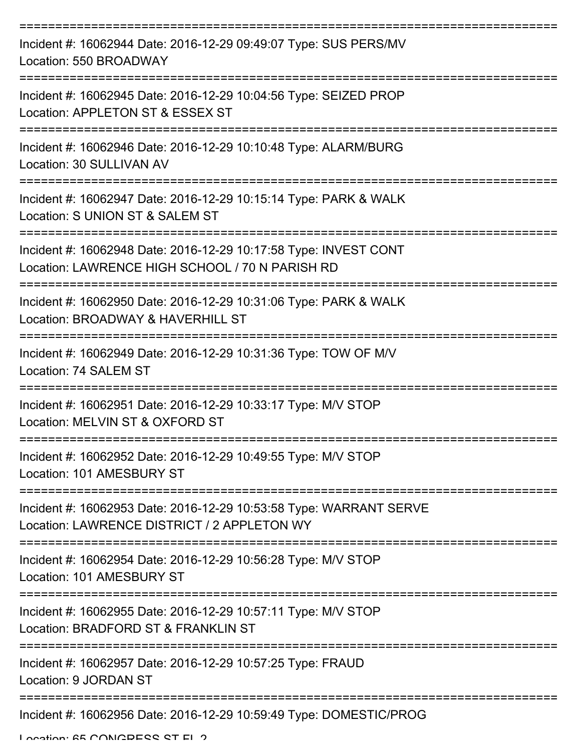| Incident #: 16062944 Date: 2016-12-29 09:49:07 Type: SUS PERS/MV<br>Location: 550 BROADWAY                          |
|---------------------------------------------------------------------------------------------------------------------|
| Incident #: 16062945 Date: 2016-12-29 10:04:56 Type: SEIZED PROP<br>Location: APPLETON ST & ESSEX ST                |
| Incident #: 16062946 Date: 2016-12-29 10:10:48 Type: ALARM/BURG<br>Location: 30 SULLIVAN AV                         |
| Incident #: 16062947 Date: 2016-12-29 10:15:14 Type: PARK & WALK<br>Location: S UNION ST & SALEM ST                 |
| Incident #: 16062948 Date: 2016-12-29 10:17:58 Type: INVEST CONT<br>Location: LAWRENCE HIGH SCHOOL / 70 N PARISH RD |
| Incident #: 16062950 Date: 2016-12-29 10:31:06 Type: PARK & WALK<br>Location: BROADWAY & HAVERHILL ST               |
| Incident #: 16062949 Date: 2016-12-29 10:31:36 Type: TOW OF M/V<br>Location: 74 SALEM ST                            |
| Incident #: 16062951 Date: 2016-12-29 10:33:17 Type: M/V STOP<br>Location: MELVIN ST & OXFORD ST                    |
| Incident #: 16062952 Date: 2016-12-29 10:49:55 Type: M/V STOP<br>Location: 101 AMESBURY ST                          |
| Incident #: 16062953 Date: 2016-12-29 10:53:58 Type: WARRANT SERVE<br>Location: LAWRENCE DISTRICT / 2 APPLETON WY   |
| Incident #: 16062954 Date: 2016-12-29 10:56:28 Type: M/V STOP<br>Location: 101 AMESBURY ST                          |
| Incident #: 16062955 Date: 2016-12-29 10:57:11 Type: M/V STOP<br>Location: BRADFORD ST & FRANKLIN ST                |
| Incident #: 16062957 Date: 2016-12-29 10:57:25 Type: FRAUD<br>Location: 9 JORDAN ST                                 |
| Incident #: 16062956 Date: 2016-12-29 10:59:49 Type: DOMESTIC/PROG                                                  |

Location: 65 CONGRESS ST EL 2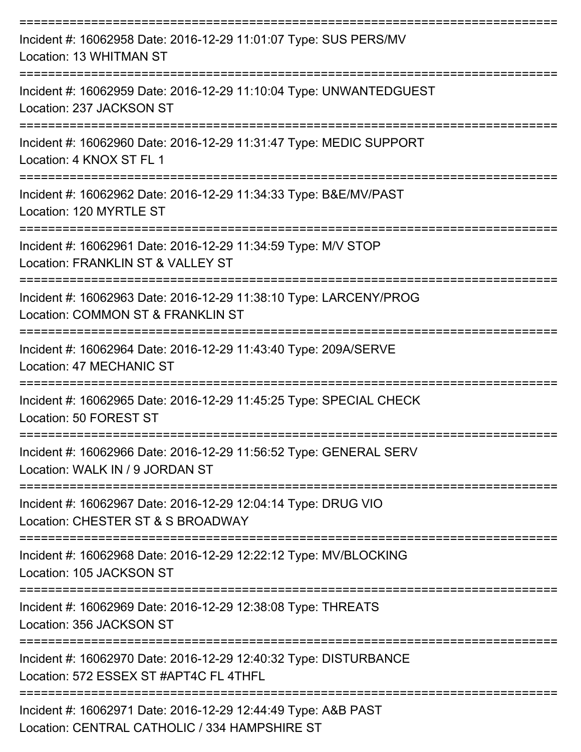| Incident #: 16062958 Date: 2016-12-29 11:01:07 Type: SUS PERS/MV<br>Location: 13 WHITMAN ST                |
|------------------------------------------------------------------------------------------------------------|
| Incident #: 16062959 Date: 2016-12-29 11:10:04 Type: UNWANTEDGUEST<br>Location: 237 JACKSON ST             |
| Incident #: 16062960 Date: 2016-12-29 11:31:47 Type: MEDIC SUPPORT<br>Location: 4 KNOX ST FL 1             |
| Incident #: 16062962 Date: 2016-12-29 11:34:33 Type: B&E/MV/PAST<br>Location: 120 MYRTLE ST                |
| Incident #: 16062961 Date: 2016-12-29 11:34:59 Type: M/V STOP<br>Location: FRANKLIN ST & VALLEY ST         |
| Incident #: 16062963 Date: 2016-12-29 11:38:10 Type: LARCENY/PROG<br>Location: COMMON ST & FRANKLIN ST     |
| Incident #: 16062964 Date: 2016-12-29 11:43:40 Type: 209A/SERVE<br><b>Location: 47 MECHANIC ST</b>         |
| Incident #: 16062965 Date: 2016-12-29 11:45:25 Type: SPECIAL CHECK<br>Location: 50 FOREST ST               |
| Incident #: 16062966 Date: 2016-12-29 11:56:52 Type: GENERAL SERV<br>Location: WALK IN / 9 JORDAN ST       |
| Incident #: 16062967 Date: 2016-12-29 12:04:14 Type: DRUG VIO<br>Location: CHESTER ST & S BROADWAY         |
| Incident #: 16062968 Date: 2016-12-29 12:22:12 Type: MV/BLOCKING<br>Location: 105 JACKSON ST               |
| Incident #: 16062969 Date: 2016-12-29 12:38:08 Type: THREATS<br>Location: 356 JACKSON ST                   |
| Incident #: 16062970 Date: 2016-12-29 12:40:32 Type: DISTURBANCE<br>Location: 572 ESSEX ST #APT4C FL 4THFL |
| Incident #: 16062971 Date: 2016-12-29 12:44:49 Type: A&B PAST                                              |

Location: CENTRAL CATHOLIC / 334 HAMPSHIRE ST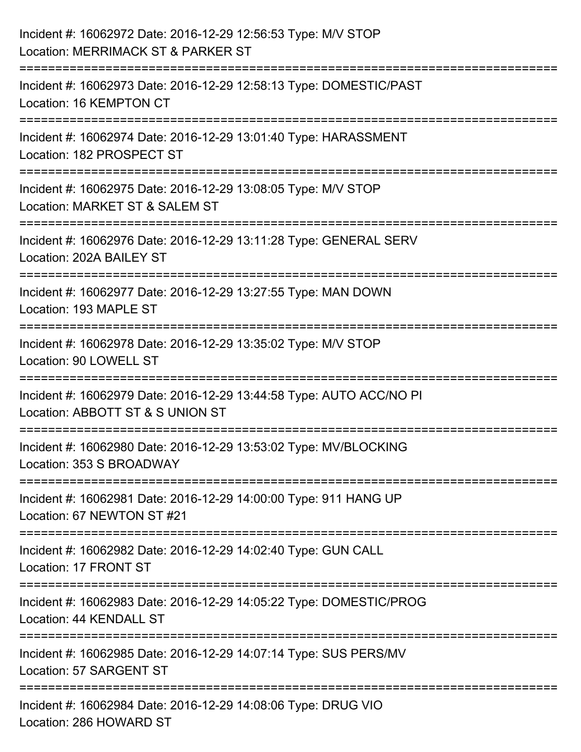| Incident #: 16062972 Date: 2016-12-29 12:56:53 Type: M/V STOP<br>Location: MERRIMACK ST & PARKER ST                         |
|-----------------------------------------------------------------------------------------------------------------------------|
| Incident #: 16062973 Date: 2016-12-29 12:58:13 Type: DOMESTIC/PAST<br>Location: 16 KEMPTON CT                               |
| Incident #: 16062974 Date: 2016-12-29 13:01:40 Type: HARASSMENT<br>Location: 182 PROSPECT ST                                |
| Incident #: 16062975 Date: 2016-12-29 13:08:05 Type: M/V STOP<br>Location: MARKET ST & SALEM ST                             |
| Incident #: 16062976 Date: 2016-12-29 13:11:28 Type: GENERAL SERV<br>Location: 202A BAILEY ST                               |
| :===============================<br>Incident #: 16062977 Date: 2016-12-29 13:27:55 Type: MAN DOWN<br>Location: 193 MAPLE ST |
| ====================<br>Incident #: 16062978 Date: 2016-12-29 13:35:02 Type: M/V STOP<br>Location: 90 LOWELL ST             |
| Incident #: 16062979 Date: 2016-12-29 13:44:58 Type: AUTO ACC/NO PI<br>Location: ABBOTT ST & S UNION ST                     |
| Incident #: 16062980 Date: 2016-12-29 13:53:02 Type: MV/BLOCKING<br>Location: 353 S BROADWAY                                |
| Incident #: 16062981 Date: 2016-12-29 14:00:00 Type: 911 HANG UP<br>Location: 67 NEWTON ST #21                              |
| Incident #: 16062982 Date: 2016-12-29 14:02:40 Type: GUN CALL<br>Location: 17 FRONT ST                                      |
| Incident #: 16062983 Date: 2016-12-29 14:05:22 Type: DOMESTIC/PROG<br>Location: 44 KENDALL ST                               |
| Incident #: 16062985 Date: 2016-12-29 14:07:14 Type: SUS PERS/MV<br>Location: 57 SARGENT ST                                 |
| Incident #: 16062984 Date: 2016-12-29 14:08:06 Type: DRUG VIO<br>Location: 286 HOWARD ST                                    |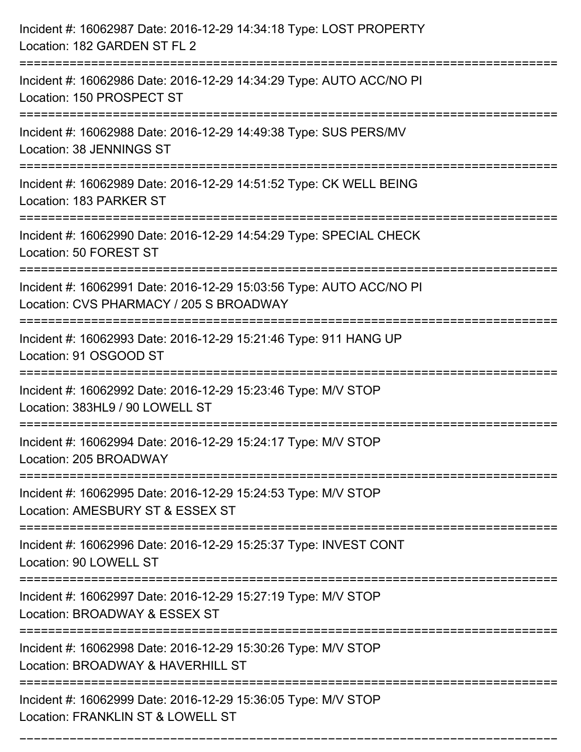| Incident #: 16062987 Date: 2016-12-29 14:34:18 Type: LOST PROPERTY<br>Location: 182 GARDEN ST FL 2                               |
|----------------------------------------------------------------------------------------------------------------------------------|
| Incident #: 16062986 Date: 2016-12-29 14:34:29 Type: AUTO ACC/NO PI<br>Location: 150 PROSPECT ST                                 |
| Incident #: 16062988 Date: 2016-12-29 14:49:38 Type: SUS PERS/MV<br>Location: 38 JENNINGS ST                                     |
| Incident #: 16062989 Date: 2016-12-29 14:51:52 Type: CK WELL BEING<br>Location: 183 PARKER ST                                    |
| Incident #: 16062990 Date: 2016-12-29 14:54:29 Type: SPECIAL CHECK<br>Location: 50 FOREST ST                                     |
| Incident #: 16062991 Date: 2016-12-29 15:03:56 Type: AUTO ACC/NO PI<br>Location: CVS PHARMACY / 205 S BROADWAY                   |
| Incident #: 16062993 Date: 2016-12-29 15:21:46 Type: 911 HANG UP<br>Location: 91 OSGOOD ST                                       |
| Incident #: 16062992 Date: 2016-12-29 15:23:46 Type: M/V STOP<br>Location: 383HL9 / 90 LOWELL ST                                 |
| Incident #: 16062994 Date: 2016-12-29 15:24:17 Type: M/V STOP<br>Location: 205 BROADWAY                                          |
| Incident #: 16062995 Date: 2016-12-29 15:24:53 Type: M/V STOP<br>Location: AMESBURY ST & ESSEX ST                                |
| Incident #: 16062996 Date: 2016-12-29 15:25:37 Type: INVEST CONT<br>Location: 90 LOWELL ST<br>================================== |
| Incident #: 16062997 Date: 2016-12-29 15:27:19 Type: M/V STOP<br>Location: BROADWAY & ESSEX ST                                   |
| Incident #: 16062998 Date: 2016-12-29 15:30:26 Type: M/V STOP<br>Location: BROADWAY & HAVERHILL ST                               |
| Incident #: 16062999 Date: 2016-12-29 15:36:05 Type: M/V STOP<br>Location: FRANKLIN ST & LOWELL ST                               |

===========================================================================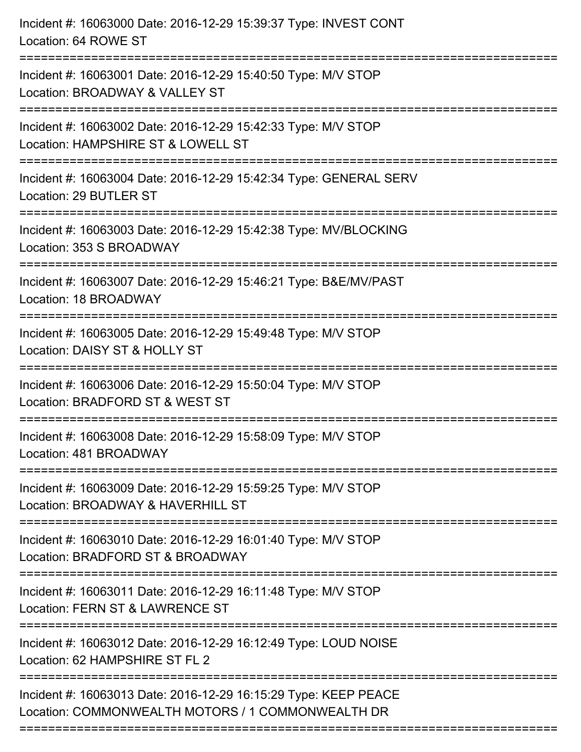| Incident #: 16063000 Date: 2016-12-29 15:39:37 Type: INVEST CONT<br>Location: 64 ROWE ST                                         |
|----------------------------------------------------------------------------------------------------------------------------------|
| Incident #: 16063001 Date: 2016-12-29 15:40:50 Type: M/V STOP<br>Location: BROADWAY & VALLEY ST                                  |
| Incident #: 16063002 Date: 2016-12-29 15:42:33 Type: M/V STOP<br>Location: HAMPSHIRE ST & LOWELL ST<br>===================       |
| Incident #: 16063004 Date: 2016-12-29 15:42:34 Type: GENERAL SERV<br>Location: 29 BUTLER ST                                      |
| Incident #: 16063003 Date: 2016-12-29 15:42:38 Type: MV/BLOCKING<br>Location: 353 S BROADWAY<br>================================ |
| Incident #: 16063007 Date: 2016-12-29 15:46:21 Type: B&E/MV/PAST<br>Location: 18 BROADWAY                                        |
| Incident #: 16063005 Date: 2016-12-29 15:49:48 Type: M/V STOP<br>Location: DAISY ST & HOLLY ST                                   |
| Incident #: 16063006 Date: 2016-12-29 15:50:04 Type: M/V STOP<br>Location: BRADFORD ST & WEST ST                                 |
| Incident #: 16063008 Date: 2016-12-29 15:58:09 Type: M/V STOP<br>Location: 481 BROADWAY                                          |
| Incident #: 16063009 Date: 2016-12-29 15:59:25 Type: M/V STOP<br>Location: BROADWAY & HAVERHILL ST                               |
| Incident #: 16063010 Date: 2016-12-29 16:01:40 Type: M/V STOP<br>Location: BRADFORD ST & BROADWAY                                |
| Incident #: 16063011 Date: 2016-12-29 16:11:48 Type: M/V STOP<br>Location: FERN ST & LAWRENCE ST                                 |
| Incident #: 16063012 Date: 2016-12-29 16:12:49 Type: LOUD NOISE<br>Location: 62 HAMPSHIRE ST FL 2                                |
| Incident #: 16063013 Date: 2016-12-29 16:15:29 Type: KEEP PEACE<br>Location: COMMONWEALTH MOTORS / 1 COMMONWEALTH DR             |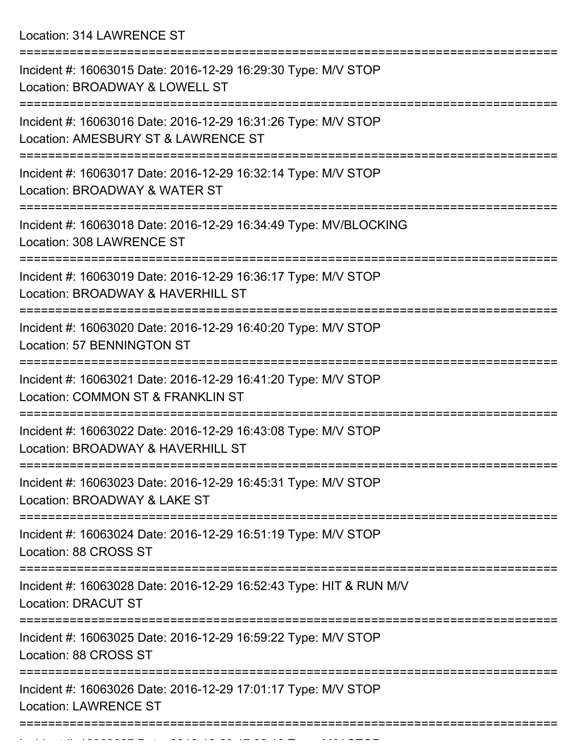Location: 314 LAWRENCE ST

| Incident #: 16063015 Date: 2016-12-29 16:29:30 Type: M/V STOP<br>Location: BROADWAY & LOWELL ST                        |
|------------------------------------------------------------------------------------------------------------------------|
| Incident #: 16063016 Date: 2016-12-29 16:31:26 Type: M/V STOP<br>Location: AMESBURY ST & LAWRENCE ST                   |
| Incident #: 16063017 Date: 2016-12-29 16:32:14 Type: M/V STOP<br>Location: BROADWAY & WATER ST                         |
| Incident #: 16063018 Date: 2016-12-29 16:34:49 Type: MV/BLOCKING<br>Location: 308 LAWRENCE ST                          |
| Incident #: 16063019 Date: 2016-12-29 16:36:17 Type: M/V STOP<br>Location: BROADWAY & HAVERHILL ST<br>================ |
| Incident #: 16063020 Date: 2016-12-29 16:40:20 Type: M/V STOP<br>Location: 57 BENNINGTON ST                            |
| Incident #: 16063021 Date: 2016-12-29 16:41:20 Type: M/V STOP<br>Location: COMMON ST & FRANKLIN ST                     |
| Incident #: 16063022 Date: 2016-12-29 16:43:08 Type: M/V STOP<br>Location: BROADWAY & HAVERHILL ST                     |
| ---------------<br>Incident #: 16063023 Date: 2016-12-29 16:45:31 Type: M/V STOP<br>Location: BROADWAY & LAKE ST       |
| Incident #: 16063024 Date: 2016-12-29 16:51:19 Type: M/V STOP<br>Location: 88 CROSS ST                                 |
| Incident #: 16063028 Date: 2016-12-29 16:52:43 Type: HIT & RUN M/V<br><b>Location: DRACUT ST</b>                       |
| Incident #: 16063025 Date: 2016-12-29 16:59:22 Type: M/V STOP<br>Location: 88 CROSS ST                                 |
| Incident #: 16063026 Date: 2016-12-29 17:01:17 Type: M/V STOP<br><b>Location: LAWRENCE ST</b>                          |
|                                                                                                                        |

Incident #: 16063027 Date: 2016 12 29 17:02:10 Type: M/V STOP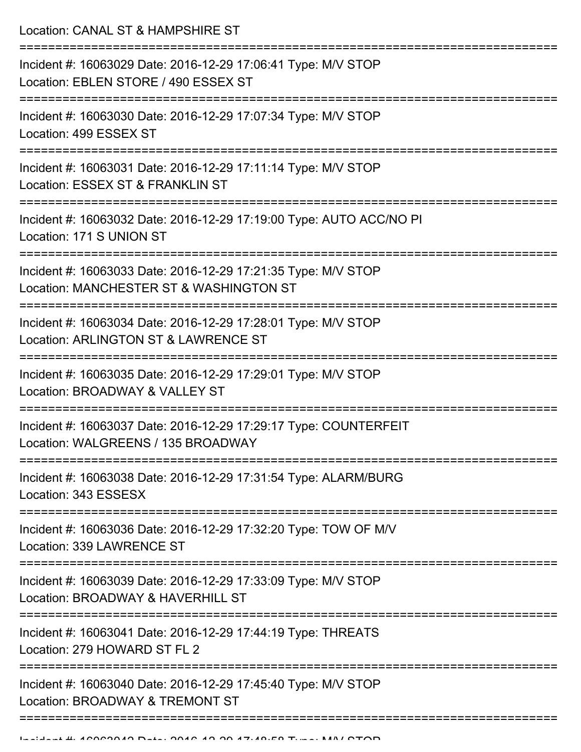Location: CANAL ST & HAMPSHIRE ST

| Incident #: 16063029 Date: 2016-12-29 17:06:41 Type: M/V STOP<br>Location: EBLEN STORE / 490 ESSEX ST            |
|------------------------------------------------------------------------------------------------------------------|
| Incident #: 16063030 Date: 2016-12-29 17:07:34 Type: M/V STOP<br>Location: 499 ESSEX ST                          |
| Incident #: 16063031 Date: 2016-12-29 17:11:14 Type: M/V STOP<br>Location: ESSEX ST & FRANKLIN ST                |
| Incident #: 16063032 Date: 2016-12-29 17:19:00 Type: AUTO ACC/NO PI<br>Location: 171 S UNION ST                  |
| Incident #: 16063033 Date: 2016-12-29 17:21:35 Type: M/V STOP<br>Location: MANCHESTER ST & WASHINGTON ST         |
| Incident #: 16063034 Date: 2016-12-29 17:28:01 Type: M/V STOP<br>Location: ARLINGTON ST & LAWRENCE ST            |
| Incident #: 16063035 Date: 2016-12-29 17:29:01 Type: M/V STOP<br>Location: BROADWAY & VALLEY ST                  |
| Incident #: 16063037 Date: 2016-12-29 17:29:17 Type: COUNTERFEIT<br>Location: WALGREENS / 135 BROADWAY           |
| Incident #: 16063038 Date: 2016-12-29 17:31:54 Type: ALARM/BURG<br>Location: 343 ESSESX                          |
| ----------------<br>Incident #: 16063036 Date: 2016-12-29 17:32:20 Type: TOW OF M/V<br>Location: 339 LAWRENCE ST |
| Incident #: 16063039 Date: 2016-12-29 17:33:09 Type: M/V STOP<br>Location: BROADWAY & HAVERHILL ST               |
| Incident #: 16063041 Date: 2016-12-29 17:44:19 Type: THREATS<br>Location: 279 HOWARD ST FL 2                     |
| Incident #: 16063040 Date: 2016-12-29 17:45:40 Type: M/V STOP<br>Location: BROADWAY & TREMONT ST                 |
|                                                                                                                  |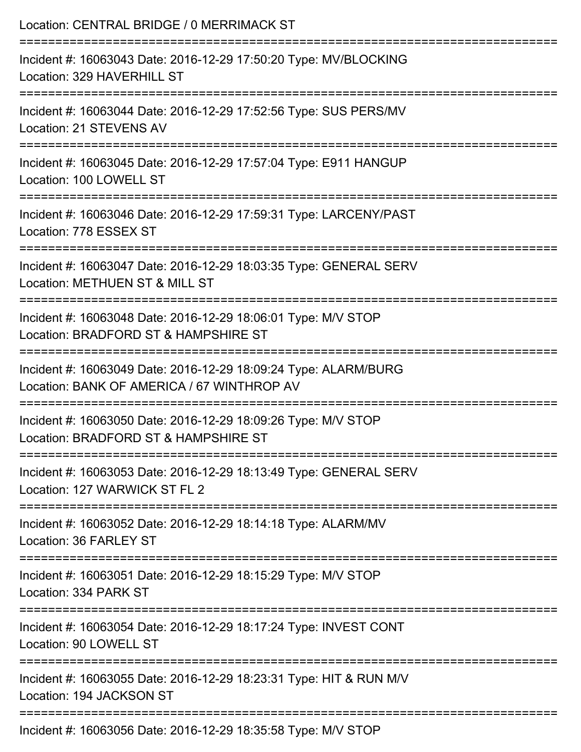| Location: CENTRAL BRIDGE / 0 MERRIMACK ST                                                                                            |
|--------------------------------------------------------------------------------------------------------------------------------------|
| Incident #: 16063043 Date: 2016-12-29 17:50:20 Type: MV/BLOCKING<br>Location: 329 HAVERHILL ST                                       |
| Incident #: 16063044 Date: 2016-12-29 17:52:56 Type: SUS PERS/MV<br>Location: 21 STEVENS AV                                          |
| Incident #: 16063045 Date: 2016-12-29 17:57:04 Type: E911 HANGUP<br>Location: 100 LOWELL ST                                          |
| Incident #: 16063046 Date: 2016-12-29 17:59:31 Type: LARCENY/PAST<br>Location: 778 ESSEX ST                                          |
| Incident #: 16063047 Date: 2016-12-29 18:03:35 Type: GENERAL SERV<br>Location: METHUEN ST & MILL ST                                  |
| ===========================<br>Incident #: 16063048 Date: 2016-12-29 18:06:01 Type: M/V STOP<br>Location: BRADFORD ST & HAMPSHIRE ST |
| Incident #: 16063049 Date: 2016-12-29 18:09:24 Type: ALARM/BURG<br>Location: BANK OF AMERICA / 67 WINTHROP AV                        |
| Incident #: 16063050 Date: 2016-12-29 18:09:26 Type: M/V STOP<br>Location: BRADFORD ST & HAMPSHIRE ST                                |
| Incident #: 16063053 Date: 2016-12-29 18:13:49 Type: GENERAL SERV<br>Location: 127 WARWICK ST FL 2                                   |
| Incident #: 16063052 Date: 2016-12-29 18:14:18 Type: ALARM/MV<br>Location: 36 FARLEY ST                                              |
| Incident #: 16063051 Date: 2016-12-29 18:15:29 Type: M/V STOP<br>Location: 334 PARK ST                                               |
| =====================<br>Incident #: 16063054 Date: 2016-12-29 18:17:24 Type: INVEST CONT<br>Location: 90 LOWELL ST                  |
| Incident #: 16063055 Date: 2016-12-29 18:23:31 Type: HIT & RUN M/V<br>Location: 194 JACKSON ST                                       |
|                                                                                                                                      |

Incident #: 16063056 Date: 2016-12-29 18:35:58 Type: M/V STOP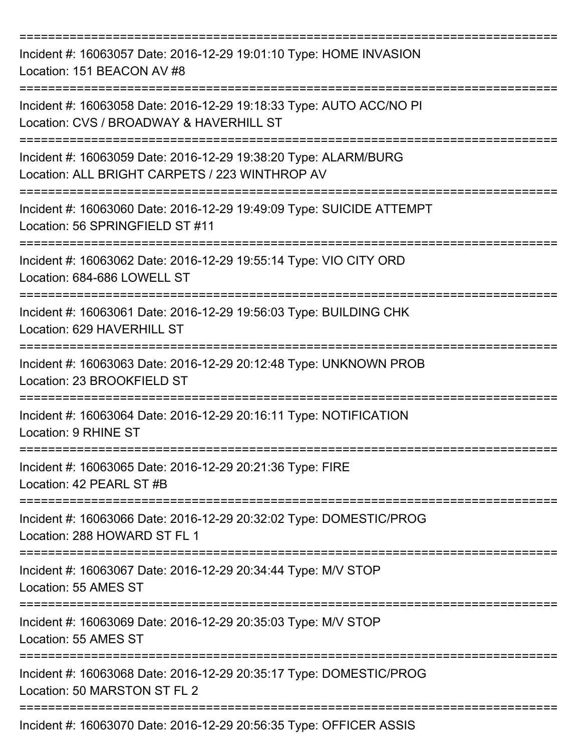| Incident #: 16063057 Date: 2016-12-29 19:01:10 Type: HOME INVASION<br>Location: 151 BEACON AV #8                  |
|-------------------------------------------------------------------------------------------------------------------|
| Incident #: 16063058 Date: 2016-12-29 19:18:33 Type: AUTO ACC/NO PI<br>Location: CVS / BROADWAY & HAVERHILL ST    |
| Incident #: 16063059 Date: 2016-12-29 19:38:20 Type: ALARM/BURG<br>Location: ALL BRIGHT CARPETS / 223 WINTHROP AV |
| Incident #: 16063060 Date: 2016-12-29 19:49:09 Type: SUICIDE ATTEMPT<br>Location: 56 SPRINGFIELD ST #11           |
| Incident #: 16063062 Date: 2016-12-29 19:55:14 Type: VIO CITY ORD<br>Location: 684-686 LOWELL ST                  |
| Incident #: 16063061 Date: 2016-12-29 19:56:03 Type: BUILDING CHK<br>Location: 629 HAVERHILL ST                   |
| Incident #: 16063063 Date: 2016-12-29 20:12:48 Type: UNKNOWN PROB<br>Location: 23 BROOKFIELD ST                   |
| Incident #: 16063064 Date: 2016-12-29 20:16:11 Type: NOTIFICATION<br>Location: 9 RHINE ST                         |
| Incident #: 16063065 Date: 2016-12-29 20:21:36 Type: FIRE<br>Location: 42 PEARL ST #B                             |
| Incident #: 16063066 Date: 2016-12-29 20:32:02 Type: DOMESTIC/PROG<br>Location: 288 HOWARD ST FL 1                |
| Incident #: 16063067 Date: 2016-12-29 20:34:44 Type: M/V STOP<br>Location: 55 AMES ST                             |
| Incident #: 16063069 Date: 2016-12-29 20:35:03 Type: M/V STOP<br>Location: 55 AMES ST                             |
| Incident #: 16063068 Date: 2016-12-29 20:35:17 Type: DOMESTIC/PROG<br>Location: 50 MARSTON ST FL 2                |
| Incident #: 16063070 Date: 2016-12-29 20:56:35 Type: OFFICER ASSIS                                                |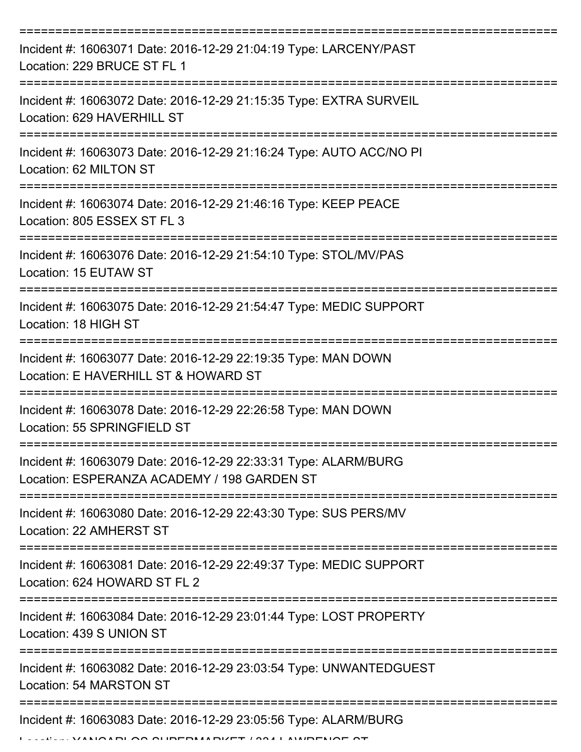| Incident #: 16063071 Date: 2016-12-29 21:04:19 Type: LARCENY/PAST<br>Location: 229 BRUCE ST FL 1               |
|----------------------------------------------------------------------------------------------------------------|
| Incident #: 16063072 Date: 2016-12-29 21:15:35 Type: EXTRA SURVEIL<br>Location: 629 HAVERHILL ST               |
| Incident #: 16063073 Date: 2016-12-29 21:16:24 Type: AUTO ACC/NO PI<br>Location: 62 MILTON ST                  |
| Incident #: 16063074 Date: 2016-12-29 21:46:16 Type: KEEP PEACE<br>Location: 805 ESSEX ST FL 3                 |
| Incident #: 16063076 Date: 2016-12-29 21:54:10 Type: STOL/MV/PAS<br>Location: 15 EUTAW ST                      |
| Incident #: 16063075 Date: 2016-12-29 21:54:47 Type: MEDIC SUPPORT<br>Location: 18 HIGH ST                     |
| Incident #: 16063077 Date: 2016-12-29 22:19:35 Type: MAN DOWN<br>Location: E HAVERHILL ST & HOWARD ST          |
| Incident #: 16063078 Date: 2016-12-29 22:26:58 Type: MAN DOWN<br>Location: 55 SPRINGFIELD ST                   |
| Incident #: 16063079 Date: 2016-12-29 22:33:31 Type: ALARM/BURG<br>Location: ESPERANZA ACADEMY / 198 GARDEN ST |
| Incident #: 16063080 Date: 2016-12-29 22:43:30 Type: SUS PERS/MV<br>Location: 22 AMHERST ST                    |
| Incident #: 16063081 Date: 2016-12-29 22:49:37 Type: MEDIC SUPPORT<br>Location: 624 HOWARD ST FL 2             |
| Incident #: 16063084 Date: 2016-12-29 23:01:44 Type: LOST PROPERTY<br>Location: 439 S UNION ST                 |
| Incident #: 16063082 Date: 2016-12-29 23:03:54 Type: UNWANTEDGUEST<br>Location: 54 MARSTON ST                  |
| Incident #: 16063083 Date: 2016-12-29 23:05:56 Type: ALARM/BURG<br>ALDI AO AUDEDILLAU/ET LOOLL AUUDELIAE AT    |